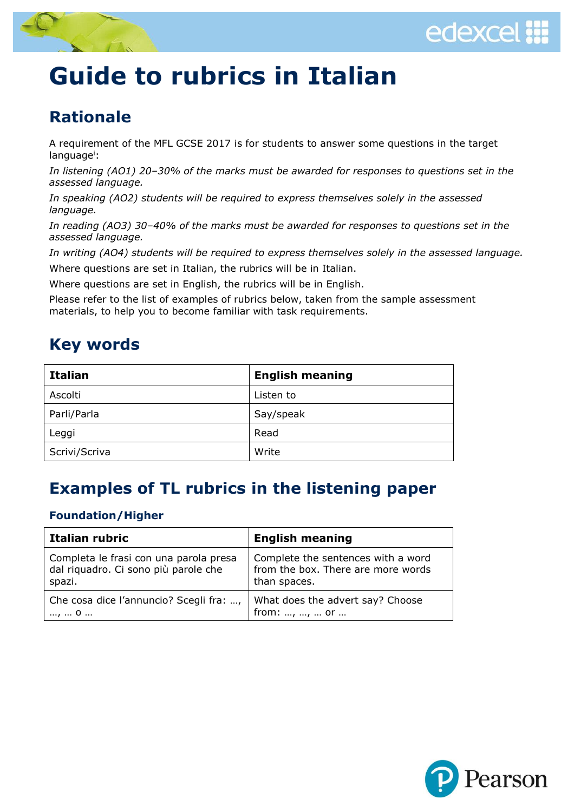



# **Guide to rubrics in Italian**

### **Rationale**

A requirement of the MFL GCSE 2017 is for students to answer some questions in the target language<sup>i</sup>:

*In listening (AO1) 20–30% of the marks must be awarded for responses to questions set in the assessed language.*

*In speaking (AO2) students will be required to express themselves solely in the assessed language.*

*In reading (AO3) 30–40% of the marks must be awarded for responses to questions set in the assessed language.*

*In writing (AO4) students will be required to express themselves solely in the assessed language.* Where questions are set in Italian, the rubrics will be in Italian.

Where questions are set in English, the rubrics will be in English.

Please refer to the list of examples of rubrics below, taken from the sample assessment materials, to help you to become familiar with task requirements.

### **Key words**

| <b>Italian</b> | <b>English meaning</b> |
|----------------|------------------------|
| Ascolti        | Listen to              |
| Parli/Parla    | Say/speak              |
| Leggi          | Read                   |
| Scrivi/Scriva  | Write                  |

### **Examples of TL rubrics in the listening paper**

#### **Foundation/Higher**

| Italian rubric                          | <b>English meaning</b>             |
|-----------------------------------------|------------------------------------|
| Completa le frasi con una parola presa  | Complete the sentences with a word |
| dal riquadro. Ci sono più parole che    | from the box. There are more words |
| spazi.                                  | than spaces.                       |
| Che cosa dice l'annuncio? Scegli fra: , | What does the advert say? Choose   |
| ,  0                                    | from: , ,  or                      |

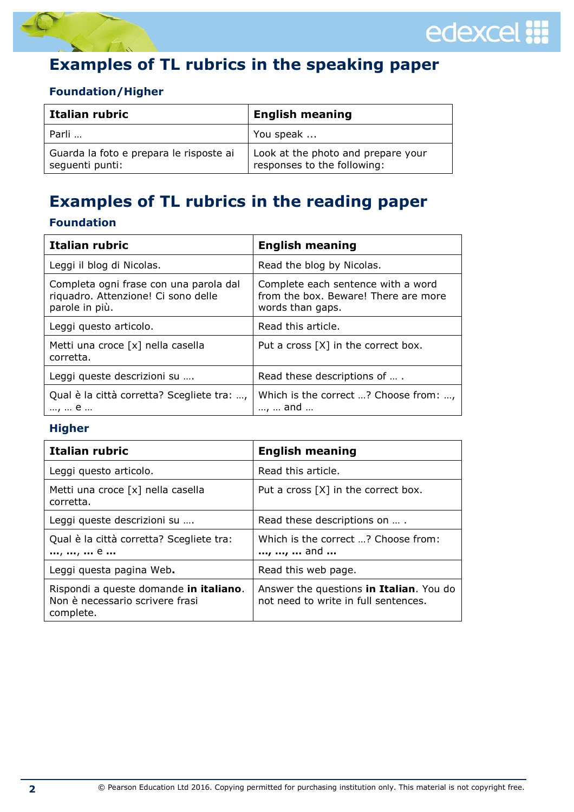



## **Examples of TL rubrics in the speaking paper**

### **Foundation/Higher**

| Italian rubric                                             | <b>English meaning</b>                                            |
|------------------------------------------------------------|-------------------------------------------------------------------|
| Parli                                                      | You speak                                                         |
| Guarda la foto e prepara le risposte ai<br>seguenti punti: | Look at the photo and prepare your<br>responses to the following: |

## **Examples of TL rubrics in the reading paper**

### **Foundation**

| Italian rubric                                                                                  | <b>English meaning</b>                                                                         |
|-------------------------------------------------------------------------------------------------|------------------------------------------------------------------------------------------------|
| Leggi il blog di Nicolas.                                                                       | Read the blog by Nicolas.                                                                      |
| Completa ogni frase con una parola dal<br>riquadro. Attenzione! Ci sono delle<br>parole in più. | Complete each sentence with a word<br>from the box. Beware! There are more<br>words than gaps. |
| Leggi questo articolo.                                                                          | Read this article.                                                                             |
| Metti una croce [x] nella casella<br>corretta.                                                  | Put a cross [X] in the correct box.                                                            |
| Leggi queste descrizioni su                                                                     | Read these descriptions of                                                                     |
| Qual è la città corretta? Scegliete tra: ,<br>,  e                                              | Which is the correct ? Choose from: ,<br>,  and                                                |

### **Higher**

| Italian rubric                                                                         | <b>English meaning</b>                                                          |
|----------------------------------------------------------------------------------------|---------------------------------------------------------------------------------|
| Leggi questo articolo.                                                                 | Read this article.                                                              |
| Metti una croce [x] nella casella<br>corretta.                                         | Put a cross $[X]$ in the correct box.                                           |
| Leggi queste descrizioni su                                                            | Read these descriptions on  .                                                   |
| Qual è la città corretta? Scegliete tra:<br>, ,  e                                     | Which is the correct ? Choose from:<br>, ,  and                                 |
| Leggi questa pagina Web.                                                               | Read this web page.                                                             |
| Rispondi a queste domande in italiano.<br>Non è necessario scrivere frasi<br>complete. | Answer the questions in Italian. You do<br>not need to write in full sentences. |